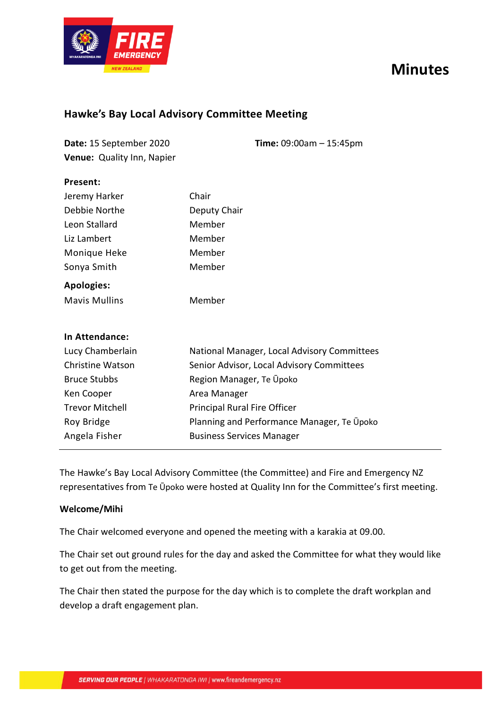# **Minutes**



**Present:**

## **Hawke's Bay Local Advisory Committee Meeting**

| Date: 15 September 2020           | <b>Time:</b> $09:00am - 15:45pm$ |
|-----------------------------------|----------------------------------|
| <b>Venue:</b> Quality Inn, Napier |                                  |

| Jeremy Harker           | Chair                                       |
|-------------------------|---------------------------------------------|
| Debbie Northe           | Deputy Chair                                |
| Leon Stallard           | Member                                      |
| Liz Lambert             | Member                                      |
| Monique Heke            | Member                                      |
| Sonya Smith             | Member                                      |
| <b>Apologies:</b>       |                                             |
| <b>Mavis Mullins</b>    | Member                                      |
|                         |                                             |
| <b>In Attendance:</b>   |                                             |
| Lucy Chamberlain        | National Manager, Local Advisory Committees |
| <b>Christine Watson</b> | Senior Advisor, Local Advisory Committees   |
| <b>Bruce Stubbs</b>     | Region Manager, Te Upoko                    |
| Ken Cooper              | Area Manager                                |
| <b>Trevor Mitchell</b>  | Principal Rural Fire Officer                |
| Roy Bridge              | Planning and Performance Manager, Te Upoko  |
| Angela Fisher           |                                             |

The Hawke's Bay Local Advisory Committee (the Committee) and Fire and Emergency NZ representatives from Te Ūpoko were hosted at Quality Inn for the Committee's first meeting.

## **Welcome/Mihi**

The Chair welcomed everyone and opened the meeting with a karakia at 09.00.

The Chair set out ground rules for the day and asked the Committee for what they would like to get out from the meeting.

The Chair then stated the purpose for the day which is to complete the draft workplan and develop a draft engagement plan.